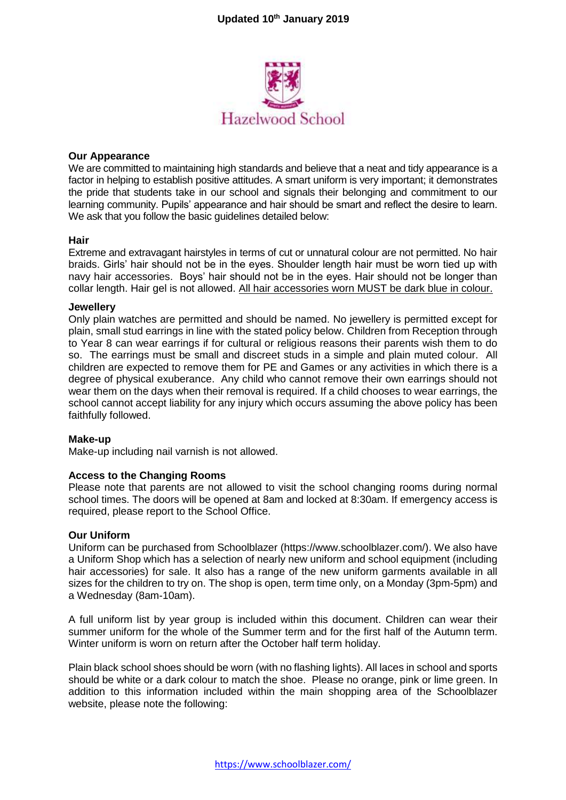

#### **Our Appearance**

We are committed to maintaining high standards and believe that a neat and tidy appearance is a factor in helping to establish positive attitudes. A smart uniform is very important; it demonstrates the pride that students take in our school and signals their belonging and commitment to our learning community. Pupils' appearance and hair should be smart and reflect the desire to learn. We ask that you follow the basic guidelines detailed below:

#### **Hair**

Extreme and extravagant hairstyles in terms of cut or unnatural colour are not permitted. No hair braids. Girls' hair should not be in the eyes. Shoulder length hair must be worn tied up with navy hair accessories. Boys' hair should not be in the eyes. Hair should not be longer than collar length. Hair gel is not allowed. All hair accessories worn MUST be dark blue in colour.

#### **Jewellery**

Only plain watches are permitted and should be named. No jewellery is permitted except for plain, small stud earrings in line with the stated policy below. Children from Reception through to Year 8 can wear earrings if for cultural or religious reasons their parents wish them to do so. The earrings must be small and discreet studs in a simple and plain muted colour. All children are expected to remove them for PE and Games or any activities in which there is a degree of physical exuberance. Any child who cannot remove their own earrings should not wear them on the days when their removal is required. If a child chooses to wear earrings, the school cannot accept liability for any injury which occurs assuming the above policy has been faithfully followed.

#### **Make-up**

Make-up including nail varnish is not allowed.

## **Access to the Changing Rooms**

Please note that parents are not allowed to visit the school changing rooms during normal school times. The doors will be opened at 8am and locked at 8:30am. If emergency access is required, please report to the School Office.

#### **Our Uniform**

Uniform can be purchased from Schoolblazer [\(https://www.schoolblazer.com/\)](https://www.schoolblazer.com/). We also have a Uniform Shop which has a selection of nearly new uniform and school equipment (including hair accessories) for sale. It also has a range of the new uniform garments available in all sizes for the children to try on. The shop is open, term time only, on a Monday (3pm-5pm) and a Wednesday (8am-10am).

A full uniform list by year group is included within this document. Children can wear their summer uniform for the whole of the Summer term and for the first half of the Autumn term. Winter uniform is worn on return after the October half term holiday.

Plain black school shoes should be worn (with no flashing lights). All laces in school and sports should be white or a dark colour to match the shoe. Please no orange, pink or lime green. In addition to this information included within the main shopping area of the Schoolblazer website, please note the following: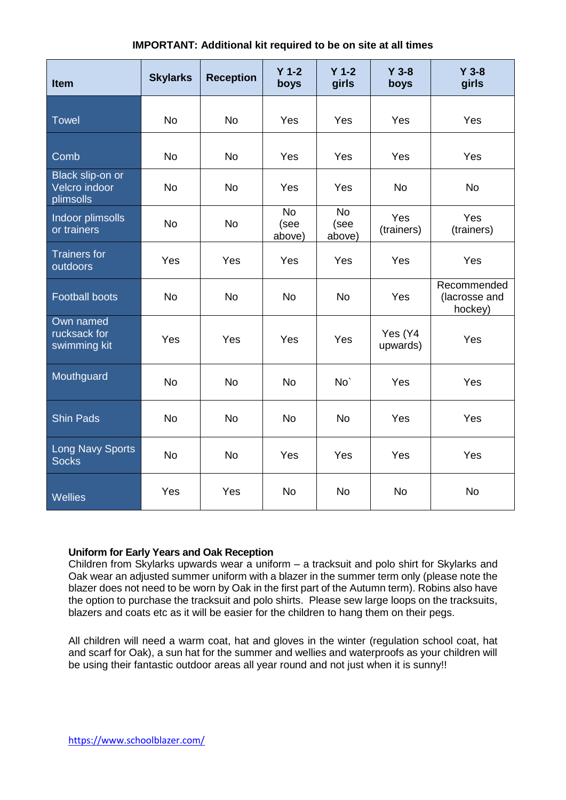| Item                                           | <b>Skylarks</b> | <b>Reception</b> | $Y$ 1-2<br>boys             | $Y$ 1-2<br>girls            | $Y$ 3-8<br>boys     | $Y$ 3-8<br>girls                        |
|------------------------------------------------|-----------------|------------------|-----------------------------|-----------------------------|---------------------|-----------------------------------------|
| <b>Towel</b>                                   | <b>No</b>       | <b>No</b>        | Yes                         | Yes                         | Yes                 | Yes                                     |
| Comb                                           | <b>No</b>       | <b>No</b>        | Yes                         | Yes                         | Yes                 | Yes                                     |
| Black slip-on or<br>Velcro indoor<br>plimsolls | <b>No</b>       | <b>No</b>        | Yes                         | Yes                         | <b>No</b>           | <b>No</b>                               |
| Indoor plimsolls<br>or trainers                | <b>No</b>       | <b>No</b>        | <b>No</b><br>(see<br>above) | <b>No</b><br>(see<br>above) | Yes<br>(trainers)   | Yes<br>(trainers)                       |
| <b>Trainers for</b><br>outdoors                | Yes             | Yes              | Yes                         | Yes                         | Yes                 | Yes                                     |
| <b>Football boots</b>                          | <b>No</b>       | <b>No</b>        | <b>No</b>                   | <b>No</b>                   | Yes                 | Recommended<br>(lacrosse and<br>hockey) |
| Own named<br>rucksack for<br>swimming kit      | Yes             | Yes              | Yes                         | Yes                         | Yes (Y4<br>upwards) | Yes                                     |
| Mouthguard                                     | <b>No</b>       | <b>No</b>        | <b>No</b>                   | No <sup>'</sup>             | Yes                 | Yes                                     |
| <b>Shin Pads</b>                               | <b>No</b>       | <b>No</b>        | <b>No</b>                   | <b>No</b>                   | Yes                 | Yes                                     |
| <b>Long Navy Sports</b><br><b>Socks</b>        | <b>No</b>       | <b>No</b>        | Yes                         | Yes                         | Yes                 | Yes                                     |
| Wellies                                        | Yes             | Yes              | <b>No</b>                   | <b>No</b>                   | <b>No</b>           | <b>No</b>                               |

# **IMPORTANT: Additional kit required to be on site at all times**

## **Uniform for Early Years and Oak Reception**

Children from Skylarks upwards wear a uniform – a tracksuit and polo shirt for Skylarks and Oak wear an adjusted summer uniform with a blazer in the summer term only (please note the blazer does not need to be worn by Oak in the first part of the Autumn term). Robins also have the option to purchase the tracksuit and polo shirts. Please sew large loops on the tracksuits, blazers and coats etc as it will be easier for the children to hang them on their pegs.

All children will need a warm coat, hat and gloves in the winter (regulation school coat, hat and scarf for Oak), a sun hat for the summer and wellies and waterproofs as your children will be using their fantastic outdoor areas all year round and not just when it is sunny!!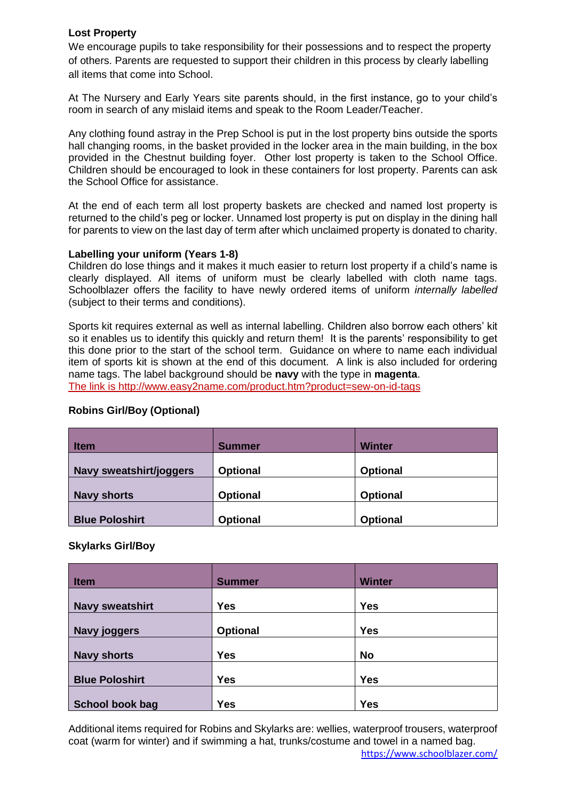## **Lost Property**

We encourage pupils to take responsibility for their possessions and to respect the property of others. Parents are requested to support their children in this process by clearly labelling all items that come into School.

At The Nursery and Early Years site parents should, in the first instance, go to your child's room in search of any mislaid items and speak to the Room Leader/Teacher.

Any clothing found astray in the Prep School is put in the lost property bins outside the sports hall changing rooms, in the basket provided in the locker area in the main building, in the box provided in the Chestnut building foyer. Other lost property is taken to the School Office. Children should be encouraged to look in these containers for lost property. Parents can ask the School Office for assistance.

At the end of each term all lost property baskets are checked and named lost property is returned to the child's peg or locker. Unnamed lost property is put on display in the dining hall for parents to view on the last day of term after which unclaimed property is donated to charity.

#### **Labelling your uniform (Years 1-8)**

Children do lose things and it makes it much easier to return lost property if a child's name is clearly displayed. All items of uniform must be clearly labelled with cloth name tags. Schoolblazer offers the facility to have newly ordered items of uniform *internally labelled* (subject to their terms and conditions).

Sports kit requires external as well as internal labelling. Children also borrow each others' kit so it enables us to identify this quickly and return them! It is the parents' responsibility to get this done prior to the start of the school term. Guidance on where to name each individual item of sports kit is shown at the end of this document. A link is also included for ordering name tags. The label background should be **navy** with the type in **magenta**. The link is http://www.easy2name.com/product.htm?product=sew-on-id-tags

# **Robins Girl/Boy (Optional)**

| <b>Item</b>             | <b>Summer</b>   | Winter          |
|-------------------------|-----------------|-----------------|
| Navy sweatshirt/joggers | <b>Optional</b> | <b>Optional</b> |
| <b>Navy shorts</b>      | <b>Optional</b> | <b>Optional</b> |
| <b>Blue Poloshirt</b>   | <b>Optional</b> | <b>Optional</b> |

## **Skylarks Girl/Boy**

| <b>Item</b>            | <b>Summer</b>   | <b>Winter</b> |
|------------------------|-----------------|---------------|
| <b>Navy sweatshirt</b> | <b>Yes</b>      | <b>Yes</b>    |
| <b>Navy joggers</b>    | <b>Optional</b> | <b>Yes</b>    |
| <b>Navy shorts</b>     | <b>Yes</b>      | <b>No</b>     |
| <b>Blue Poloshirt</b>  | <b>Yes</b>      | <b>Yes</b>    |
| School book bag        | <b>Yes</b>      | <b>Yes</b>    |

Additional items required for Robins and Skylarks are: wellies, waterproof trousers, waterproof coat (warm for winter) and if swimming a hat, trunks/costume and towel in a named bag.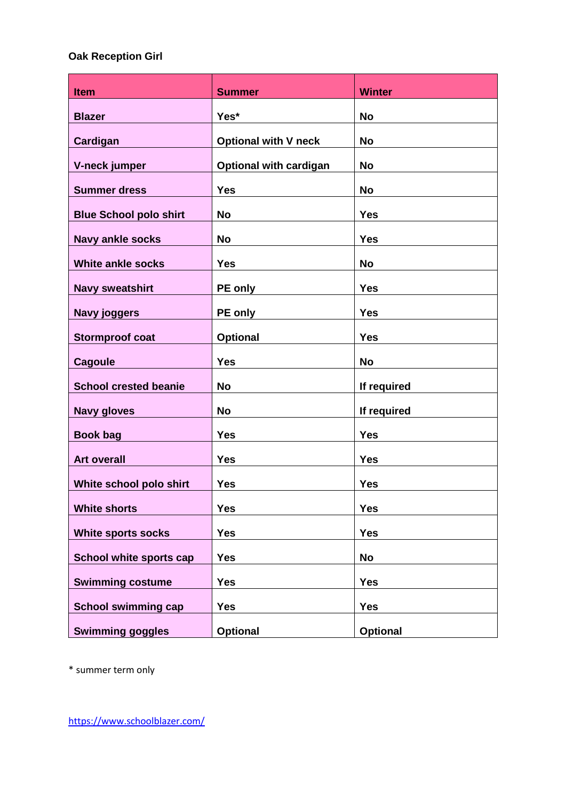# **Oak Reception Girl**

| <b>Item</b>                   | <b>Summer</b>                 | <b>Winter</b>   |
|-------------------------------|-------------------------------|-----------------|
| <b>Blazer</b>                 | Yes*                          | <b>No</b>       |
| Cardigan                      | <b>Optional with V neck</b>   | <b>No</b>       |
| V-neck jumper                 | <b>Optional with cardigan</b> | <b>No</b>       |
| <b>Summer dress</b>           | <b>Yes</b>                    | <b>No</b>       |
| <b>Blue School polo shirt</b> | <b>No</b>                     | <b>Yes</b>      |
| <b>Navy ankle socks</b>       | <b>No</b>                     | <b>Yes</b>      |
| White ankle socks             | <b>Yes</b>                    | <b>No</b>       |
| <b>Navy sweatshirt</b>        | <b>PE only</b>                | <b>Yes</b>      |
| <b>Navy joggers</b>           | PE only                       | <b>Yes</b>      |
| <b>Stormproof coat</b>        | <b>Optional</b>               | <b>Yes</b>      |
| <b>Cagoule</b>                | <b>Yes</b>                    | <b>No</b>       |
| <b>School crested beanie</b>  | <b>No</b>                     | If required     |
| <b>Navy gloves</b>            | <b>No</b>                     | If required     |
| <b>Book bag</b>               | <b>Yes</b>                    | <b>Yes</b>      |
| <b>Art overall</b>            | <b>Yes</b>                    | <b>Yes</b>      |
| White school polo shirt       | <b>Yes</b>                    | <b>Yes</b>      |
| <b>White shorts</b>           | <b>Yes</b>                    | <b>Yes</b>      |
|                               |                               |                 |
| <b>White sports socks</b>     | <b>Yes</b>                    | <b>Yes</b>      |
| School white sports cap       | <b>Yes</b>                    | <b>No</b>       |
| <b>Swimming costume</b>       | <b>Yes</b>                    | <b>Yes</b>      |
| <b>School swimming cap</b>    | <b>Yes</b>                    | <b>Yes</b>      |
| <b>Swimming goggles</b>       | <b>Optional</b>               | <b>Optional</b> |

\* summer term only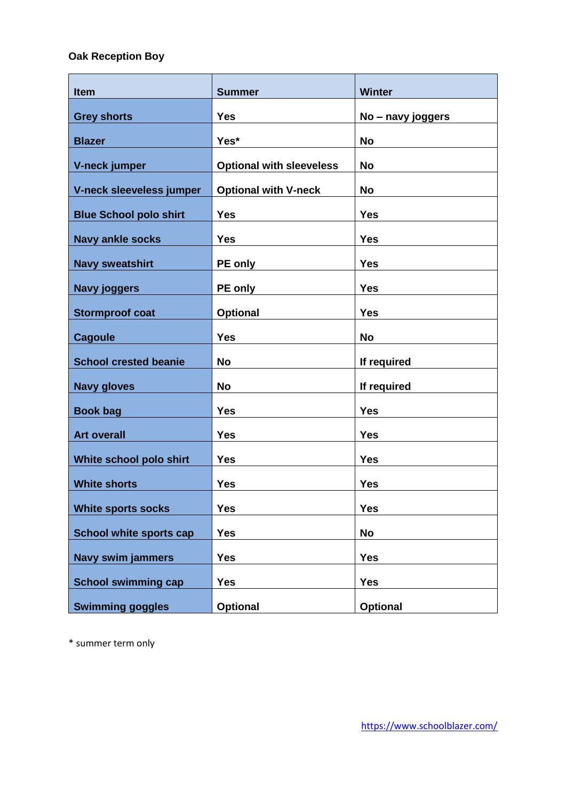# **Oak Reception Boy**

| <b>Item</b>                    | <b>Summer</b>                   | <b>Winter</b>     |
|--------------------------------|---------------------------------|-------------------|
| <b>Grey shorts</b>             | <b>Yes</b>                      | No - navy joggers |
| <b>Blazer</b>                  | Yes*                            | <b>No</b>         |
| V-neck jumper                  | <b>Optional with sleeveless</b> | <b>No</b>         |
| V-neck sleeveless jumper       | <b>Optional with V-neck</b>     | <b>No</b>         |
| <b>Blue School polo shirt</b>  | <b>Yes</b>                      | <b>Yes</b>        |
| <b>Navy ankle socks</b>        | <b>Yes</b>                      | <b>Yes</b>        |
| <b>Navy sweatshirt</b>         | <b>PE only</b>                  | <b>Yes</b>        |
| <b>Navy joggers</b>            | <b>PE only</b>                  | <b>Yes</b>        |
| <b>Stormproof coat</b>         | <b>Optional</b>                 | <b>Yes</b>        |
| <b>Cagoule</b>                 | <b>Yes</b>                      | <b>No</b>         |
|                                | <b>No</b>                       |                   |
| <b>School crested beanie</b>   |                                 | If required       |
| <b>Navy gloves</b>             | <b>No</b>                       | If required       |
| <b>Book bag</b>                | <b>Yes</b>                      | <b>Yes</b>        |
| <b>Art overall</b>             | <b>Yes</b>                      | <b>Yes</b>        |
| White school polo shirt        | <b>Yes</b>                      | <b>Yes</b>        |
| <b>White shorts</b>            | <b>Yes</b>                      | <b>Yes</b>        |
| <b>White sports socks</b>      | <b>Yes</b>                      | <b>Yes</b>        |
| <b>School white sports cap</b> | <b>Yes</b>                      | <b>No</b>         |
| <b>Navy swim jammers</b>       | <b>Yes</b>                      | <b>Yes</b>        |
| <b>School swimming cap</b>     | <b>Yes</b>                      | <b>Yes</b>        |
| <b>Swimming goggles</b>        | <b>Optional</b>                 | <b>Optional</b>   |

\* summer term only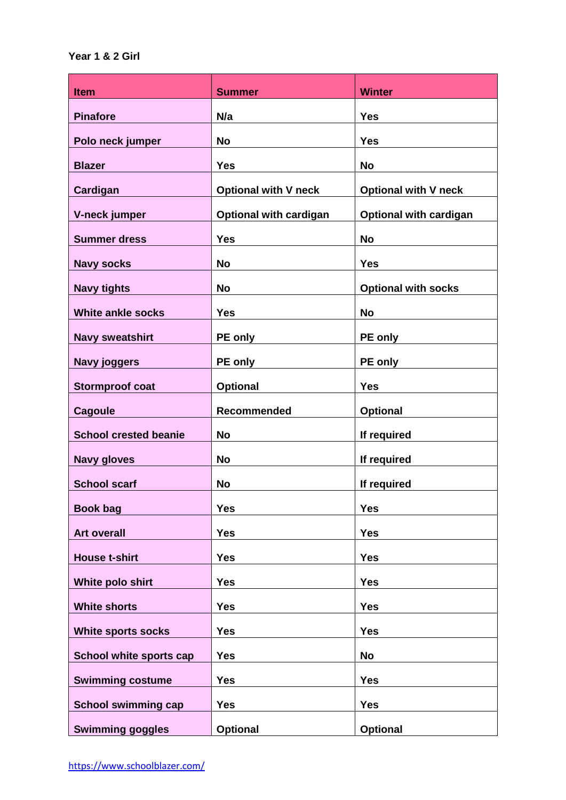| <b>Item</b>                  | <b>Summer</b>                 | <b>Winter</b>                 |
|------------------------------|-------------------------------|-------------------------------|
| <b>Pinafore</b>              | N/a                           | <b>Yes</b>                    |
| Polo neck jumper             | <b>No</b>                     | <b>Yes</b>                    |
| <b>Blazer</b>                | <b>Yes</b>                    | <b>No</b>                     |
| Cardigan                     | <b>Optional with V neck</b>   | <b>Optional with V neck</b>   |
| V-neck jumper                | <b>Optional with cardigan</b> | <b>Optional with cardigan</b> |
| <b>Summer dress</b>          | <b>Yes</b>                    | <b>No</b>                     |
| <b>Navy socks</b>            | No                            | <b>Yes</b>                    |
| <b>Navy tights</b>           | <b>No</b>                     | <b>Optional with socks</b>    |
| White ankle socks            | <b>Yes</b>                    | <b>No</b>                     |
| <b>Navy sweatshirt</b>       | PE only                       | <b>PE</b> only                |
| <b>Navy joggers</b>          | PE only                       | PE only                       |
| <b>Stormproof coat</b>       | <b>Optional</b>               | <b>Yes</b>                    |
| <b>Cagoule</b>               | Recommended                   | <b>Optional</b>               |
| <b>School crested beanie</b> | <b>No</b>                     | If required                   |
| <b>Navy gloves</b>           | <b>No</b>                     | If required                   |
| <b>School scarf</b>          | <b>No</b>                     | If required                   |
| <b>Book bag</b>              | <b>Yes</b>                    | <b>Yes</b>                    |
| <b>Art overall</b>           | <b>Yes</b>                    | <b>Yes</b>                    |
| <b>House t-shirt</b>         | <b>Yes</b>                    | <b>Yes</b>                    |
| White polo shirt             | <b>Yes</b>                    | <b>Yes</b>                    |
| <b>White shorts</b>          | <b>Yes</b>                    | <b>Yes</b>                    |
| <b>White sports socks</b>    | <b>Yes</b>                    | <b>Yes</b>                    |
| School white sports cap      | <b>Yes</b>                    | <b>No</b>                     |
| <b>Swimming costume</b>      | <b>Yes</b>                    | <b>Yes</b>                    |
| <b>School swimming cap</b>   | <b>Yes</b>                    | <b>Yes</b>                    |
| <b>Swimming goggles</b>      | <b>Optional</b>               | <b>Optional</b>               |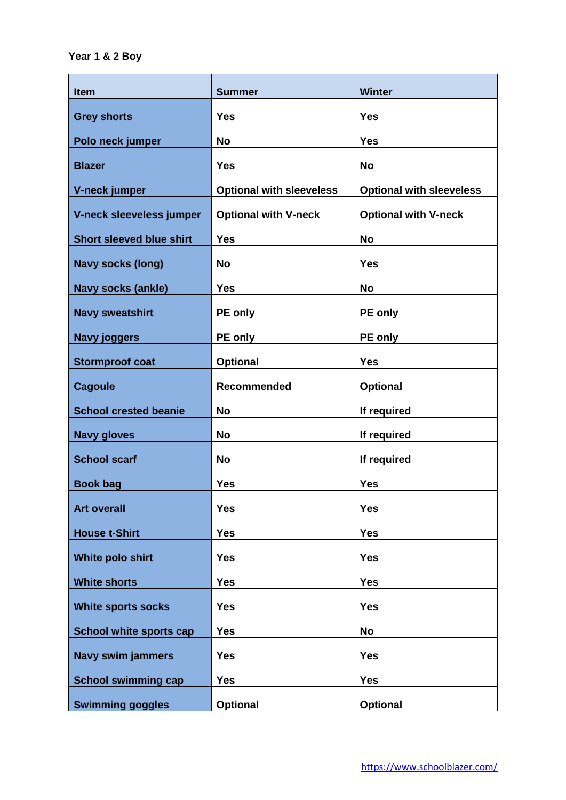| <b>Item</b>                     | <b>Summer</b>                   | <b>Winter</b>                   |
|---------------------------------|---------------------------------|---------------------------------|
| <b>Grey shorts</b>              | <b>Yes</b>                      | <b>Yes</b>                      |
| Polo neck jumper                | <b>No</b>                       | <b>Yes</b>                      |
| <b>Blazer</b>                   | <b>Yes</b>                      | <b>No</b>                       |
| V-neck jumper                   | <b>Optional with sleeveless</b> | <b>Optional with sleeveless</b> |
| V-neck sleeveless jumper        | <b>Optional with V-neck</b>     | <b>Optional with V-neck</b>     |
| <b>Short sleeved blue shirt</b> | <b>Yes</b>                      | <b>No</b>                       |
| <b>Navy socks (long)</b>        | <b>No</b>                       | <b>Yes</b>                      |
| <b>Navy socks (ankle)</b>       | <b>Yes</b>                      | <b>No</b>                       |
| <b>Navy sweatshirt</b>          | PE only                         | PE only                         |
| <b>Navy joggers</b>             | PE only                         | PE only                         |
| <b>Stormproof coat</b>          | <b>Optional</b>                 | <b>Yes</b>                      |
| <b>Cagoule</b>                  | Recommended                     | <b>Optional</b>                 |
| <b>School crested beanie</b>    | <b>No</b>                       | If required                     |
| <b>Navy gloves</b>              | <b>No</b>                       | If required                     |
| <b>School scarf</b>             | <b>No</b>                       | If required                     |
| <b>Book bag</b>                 | <b>Yes</b>                      | <b>Yes</b>                      |
| <b>Art overall</b>              | <b>Yes</b>                      | <b>Yes</b>                      |
| <b>House t-Shirt</b>            | <b>Yes</b>                      | <b>Yes</b>                      |
| White polo shirt                | <b>Yes</b>                      | <b>Yes</b>                      |
| <b>White shorts</b>             | <b>Yes</b>                      | <b>Yes</b>                      |
| <b>White sports socks</b>       | <b>Yes</b>                      | <b>Yes</b>                      |
| School white sports cap         | <b>Yes</b>                      | <b>No</b>                       |
| <b>Navy swim jammers</b>        | <b>Yes</b>                      | <b>Yes</b>                      |
| <b>School swimming cap</b>      | <b>Yes</b>                      | <b>Yes</b>                      |
| <b>Swimming goggles</b>         | Optional                        | <b>Optional</b>                 |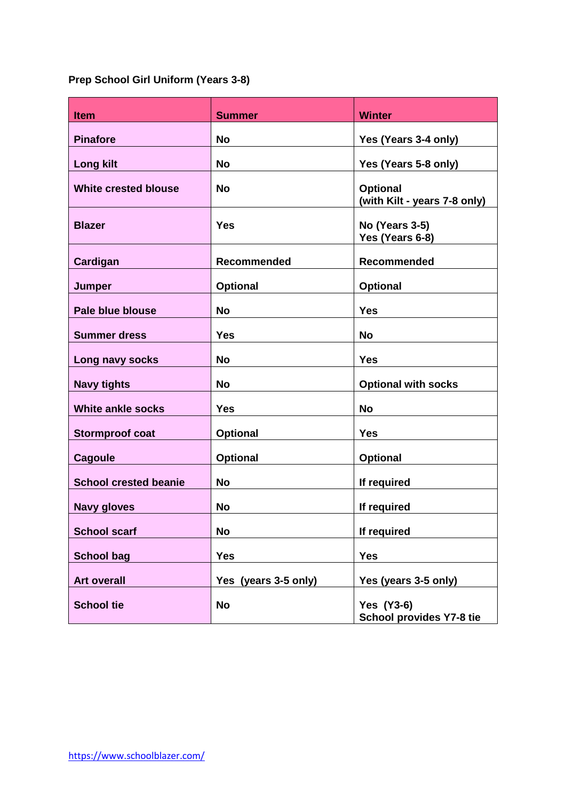# **Prep School Girl Uniform (Years 3-8)**

| <b>Item</b>                  | <b>Summer</b>        | <b>Winter</b>                                   |
|------------------------------|----------------------|-------------------------------------------------|
| <b>Pinafore</b>              | No                   | Yes (Years 3-4 only)                            |
| <b>Long kilt</b>             | <b>No</b>            | Yes (Years 5-8 only)                            |
| <b>White crested blouse</b>  | <b>No</b>            | <b>Optional</b><br>(with Kilt - years 7-8 only) |
| <b>Blazer</b>                | Yes                  | <b>No (Years 3-5)</b><br>Yes (Years 6-8)        |
| Cardigan                     | Recommended          | Recommended                                     |
| <b>Jumper</b>                | <b>Optional</b>      | <b>Optional</b>                                 |
| Pale blue blouse             | <b>No</b>            | <b>Yes</b>                                      |
| <b>Summer dress</b>          | <b>Yes</b>           | <b>No</b>                                       |
| Long navy socks              | No                   | <b>Yes</b>                                      |
| <b>Navy tights</b>           | No                   | <b>Optional with socks</b>                      |
| <b>White ankle socks</b>     | <b>Yes</b>           | <b>No</b>                                       |
| <b>Stormproof coat</b>       | <b>Optional</b>      | <b>Yes</b>                                      |
| <b>Cagoule</b>               | <b>Optional</b>      | <b>Optional</b>                                 |
| <b>School crested beanie</b> | <b>No</b>            | If required                                     |
| <b>Navy gloves</b>           | <b>No</b>            | If required                                     |
| <b>School scarf</b>          | <b>No</b>            | If required                                     |
| <b>School bag</b>            | <b>Yes</b>           | <b>Yes</b>                                      |
| <b>Art overall</b>           | Yes (years 3-5 only) | Yes (years 3-5 only)                            |
| <b>School tie</b>            | <b>No</b>            | <b>Yes (Y3-6)</b><br>School provides Y7-8 tie   |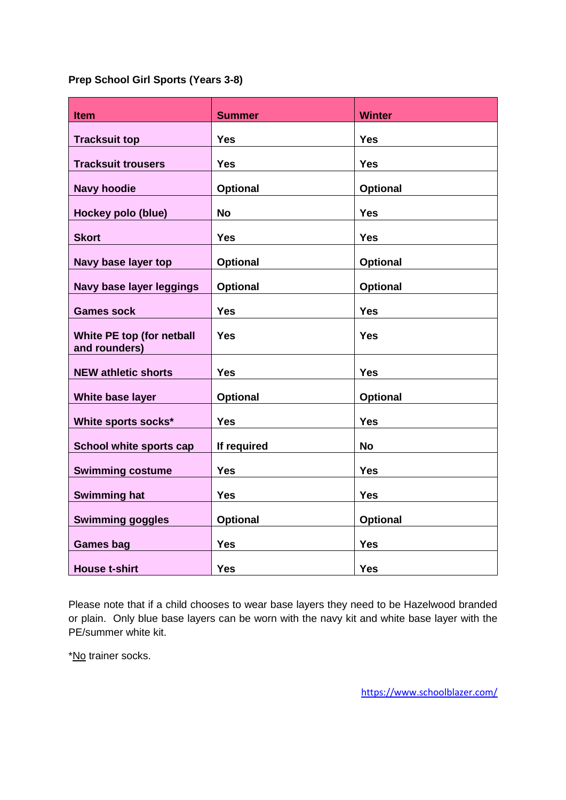**Prep School Girl Sports (Years 3-8)**

| <b>Item</b>                                | <b>Summer</b>   | <b>Winter</b>   |
|--------------------------------------------|-----------------|-----------------|
| <b>Tracksuit top</b>                       | <b>Yes</b>      | <b>Yes</b>      |
| <b>Tracksuit trousers</b>                  | <b>Yes</b>      | <b>Yes</b>      |
| <b>Navy hoodie</b>                         | <b>Optional</b> | <b>Optional</b> |
| Hockey polo (blue)                         | <b>No</b>       | <b>Yes</b>      |
| <b>Skort</b>                               | <b>Yes</b>      | <b>Yes</b>      |
| Navy base layer top                        | <b>Optional</b> | <b>Optional</b> |
| Navy base layer leggings                   | <b>Optional</b> | Optional        |
| <b>Games sock</b>                          | <b>Yes</b>      | <b>Yes</b>      |
| White PE top (for netball<br>and rounders) | <b>Yes</b>      | <b>Yes</b>      |
| <b>NEW athletic shorts</b>                 | <b>Yes</b>      | <b>Yes</b>      |
| White base layer                           | <b>Optional</b> | <b>Optional</b> |
| White sports socks*                        | <b>Yes</b>      | <b>Yes</b>      |
| School white sports cap                    | If required     | <b>No</b>       |
| <b>Swimming costume</b>                    | <b>Yes</b>      | <b>Yes</b>      |
| <b>Swimming hat</b>                        | <b>Yes</b>      | <b>Yes</b>      |
| <b>Swimming goggles</b>                    | <b>Optional</b> | <b>Optional</b> |
| <b>Games bag</b>                           | <b>Yes</b>      | <b>Yes</b>      |
| <b>House t-shirt</b>                       | <b>Yes</b>      | <b>Yes</b>      |

Please note that if a child chooses to wear base layers they need to be Hazelwood branded or plain. Only blue base layers can be worn with the navy kit and white base layer with the PE/summer white kit.

\*No trainer socks.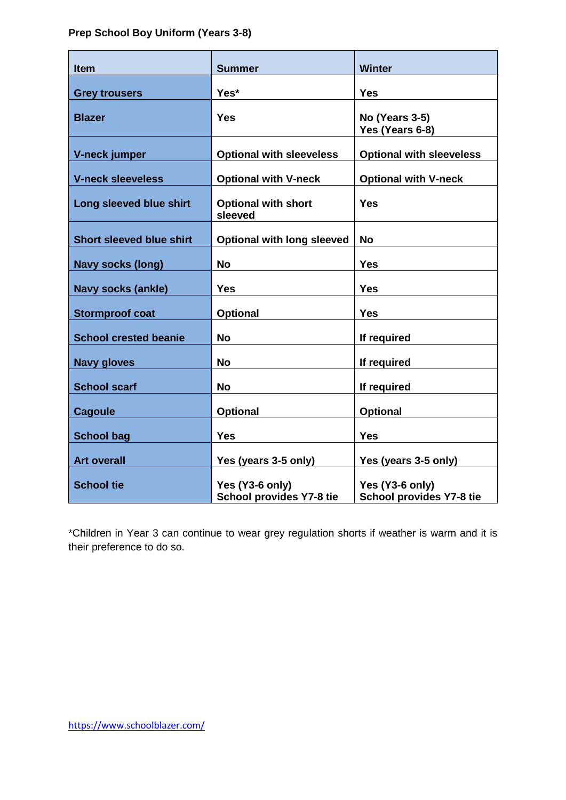# **Prep School Boy Uniform (Years 3-8)**

| <b>Item</b>                     | <b>Summer</b>                               | <b>Winter</b>                               |
|---------------------------------|---------------------------------------------|---------------------------------------------|
| <b>Grey trousers</b>            | Yes*                                        | <b>Yes</b>                                  |
| <b>Blazer</b>                   | Yes                                         | No (Years 3-5)<br>Yes (Years 6-8)           |
| V-neck jumper                   | <b>Optional with sleeveless</b>             | <b>Optional with sleeveless</b>             |
| <b>V-neck sleeveless</b>        | <b>Optional with V-neck</b>                 | <b>Optional with V-neck</b>                 |
| Long sleeved blue shirt         | <b>Optional with short</b><br>sleeved       | <b>Yes</b>                                  |
| <b>Short sleeved blue shirt</b> | <b>Optional with long sleeved</b>           | <b>No</b>                                   |
| <b>Navy socks (long)</b>        | <b>No</b>                                   | <b>Yes</b>                                  |
| <b>Navy socks (ankle)</b>       | <b>Yes</b>                                  | <b>Yes</b>                                  |
| <b>Stormproof coat</b>          | <b>Optional</b>                             | <b>Yes</b>                                  |
| <b>School crested beanie</b>    | <b>No</b>                                   | If required                                 |
| <b>Navy gloves</b>              | No                                          | If required                                 |
| <b>School scarf</b>             | <b>No</b>                                   | If required                                 |
| <b>Cagoule</b>                  | Optional                                    | <b>Optional</b>                             |
| <b>School bag</b>               | <b>Yes</b>                                  | <b>Yes</b>                                  |
| <b>Art overall</b>              | Yes (years 3-5 only)                        | Yes (years 3-5 only)                        |
| <b>School tie</b>               | Yes (Y3-6 only)<br>School provides Y7-8 tie | Yes (Y3-6 only)<br>School provides Y7-8 tie |

\*Children in Year 3 can continue to wear grey regulation shorts if weather is warm and it is their preference to do so.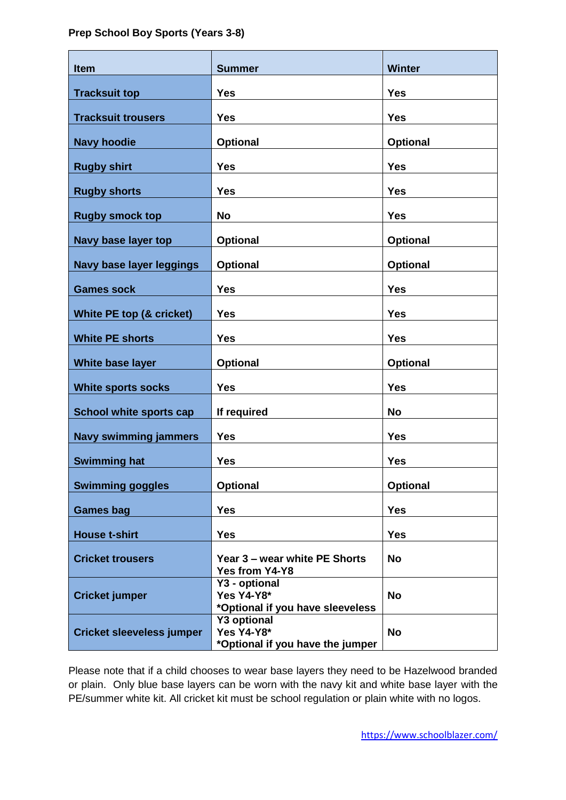## **Prep School Boy Sports (Years 3-8)**

| <b>Item</b>                      | <b>Summer</b>                                                               | <b>Winter</b>   |
|----------------------------------|-----------------------------------------------------------------------------|-----------------|
| <b>Tracksuit top</b>             | <b>Yes</b>                                                                  | <b>Yes</b>      |
| <b>Tracksuit trousers</b>        | <b>Yes</b>                                                                  | <b>Yes</b>      |
| <b>Navy hoodie</b>               | <b>Optional</b>                                                             | <b>Optional</b> |
|                                  |                                                                             |                 |
| <b>Rugby shirt</b>               | <b>Yes</b>                                                                  | <b>Yes</b>      |
| <b>Rugby shorts</b>              | <b>Yes</b>                                                                  | <b>Yes</b>      |
| <b>Rugby smock top</b>           | <b>No</b>                                                                   | <b>Yes</b>      |
| Navy base layer top              | <b>Optional</b>                                                             | <b>Optional</b> |
| <b>Navy base layer leggings</b>  | <b>Optional</b>                                                             | <b>Optional</b> |
| <b>Games sock</b>                | <b>Yes</b>                                                                  | <b>Yes</b>      |
| White PE top (& cricket)         | <b>Yes</b>                                                                  | <b>Yes</b>      |
| <b>White PE shorts</b>           | <b>Yes</b>                                                                  | <b>Yes</b>      |
| White base layer                 | <b>Optional</b>                                                             | <b>Optional</b> |
| <b>White sports socks</b>        | <b>Yes</b>                                                                  | <b>Yes</b>      |
| <b>School white sports cap</b>   | If required                                                                 | <b>No</b>       |
| <b>Navy swimming jammers</b>     | <b>Yes</b>                                                                  | <b>Yes</b>      |
| <b>Swimming hat</b>              | <b>Yes</b>                                                                  | <b>Yes</b>      |
| <b>Swimming goggles</b>          | <b>Optional</b>                                                             | <b>Optional</b> |
| <b>Games bag</b>                 | <b>Yes</b>                                                                  | <b>Yes</b>      |
| <b>House t-shirt</b>             | <b>Yes</b>                                                                  | <b>Yes</b>      |
| <b>Cricket trousers</b>          | Year 3 – wear white PE Shorts<br>Yes from Y4-Y8                             | <b>No</b>       |
| <b>Cricket jumper</b>            | Y3 - optional<br><b>Yes Y4-Y8*</b><br>*Optional if you have sleeveless      | <b>No</b>       |
| <b>Cricket sleeveless jumper</b> | <b>Y3 optional</b><br><b>Yes Y4-Y8*</b><br>*Optional if you have the jumper | <b>No</b>       |

Please note that if a child chooses to wear base layers they need to be Hazelwood branded or plain. Only blue base layers can be worn with the navy kit and white base layer with the PE/summer white kit. All cricket kit must be school regulation or plain white with no logos.